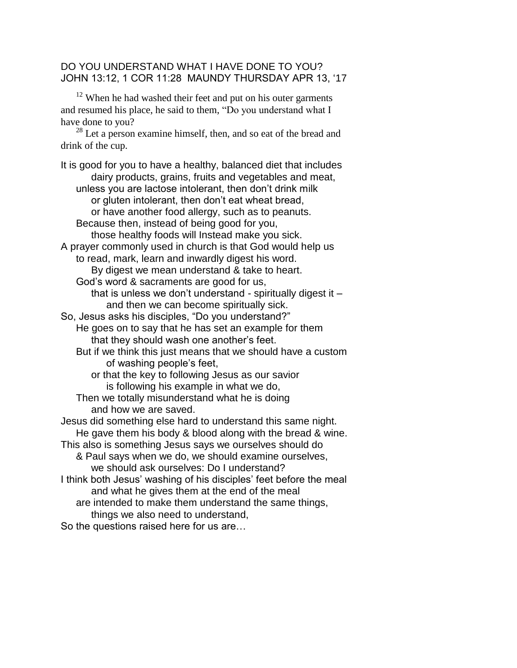## DO YOU UNDERSTAND WHAT I HAVE DONE TO YOU? JOHN 13:12, 1 COR 11:28 MAUNDY THURSDAY APR 13, '17

 $12$  When he had washed their feet and put on his outer garments and resumed his place, he said to them, "Do you understand what I have done to you?

<sup>28</sup> Let a person examine himself, then, and so eat of the bread and drink of the cup.

It is good for you to have a healthy, balanced diet that includes dairy products, grains, fruits and vegetables and meat, unless you are lactose intolerant, then don't drink milk or gluten intolerant, then don't eat wheat bread, or have another food allergy, such as to peanuts. Because then, instead of being good for you, those healthy foods will Instead make you sick. A prayer commonly used in church is that God would help us to read, mark, learn and inwardly digest his word. By digest we mean understand & take to heart. God's word & sacraments are good for us, that is unless we don't understand - spiritually digest it  $$ and then we can become spiritually sick. So, Jesus asks his disciples, "Do you understand?" He goes on to say that he has set an example for them that they should wash one another's feet. But if we think this just means that we should have a custom of washing people's feet, or that the key to following Jesus as our savior is following his example in what we do, Then we totally misunderstand what he is doing and how we are saved. Jesus did something else hard to understand this same night. He gave them his body & blood along with the bread & wine. This also is something Jesus says we ourselves should do & Paul says when we do, we should examine ourselves, we should ask ourselves: Do I understand? I think both Jesus' washing of his disciples' feet before the meal and what he gives them at the end of the meal are intended to make them understand the same things, things we also need to understand, So the questions raised here for us are…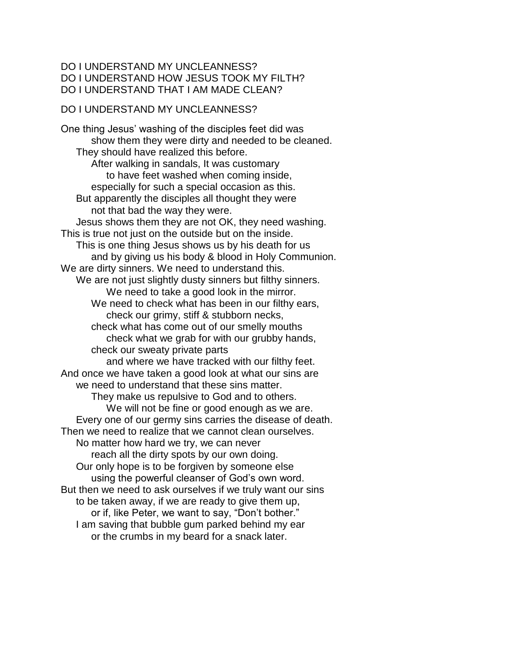## DO I UNDERSTAND MY UNCLEANNESS? DO I UNDERSTAND HOW JESUS TOOK MY FILTH? DO I UNDERSTAND THAT I AM MADE CLEAN?

## DO I UNDERSTAND MY UNCLEANNESS?

One thing Jesus' washing of the disciples feet did was show them they were dirty and needed to be cleaned. They should have realized this before. After walking in sandals, It was customary to have feet washed when coming inside, especially for such a special occasion as this. But apparently the disciples all thought they were not that bad the way they were. Jesus shows them they are not OK, they need washing. This is true not just on the outside but on the inside. This is one thing Jesus shows us by his death for us and by giving us his body & blood in Holy Communion. We are dirty sinners. We need to understand this. We are not just slightly dusty sinners but filthy sinners. We need to take a good look in the mirror. We need to check what has been in our filthy ears, check our grimy, stiff & stubborn necks, check what has come out of our smelly mouths check what we grab for with our grubby hands, check our sweaty private parts and where we have tracked with our filthy feet. And once we have taken a good look at what our sins are we need to understand that these sins matter. They make us repulsive to God and to others. We will not be fine or good enough as we are. Every one of our germy sins carries the disease of death. Then we need to realize that we cannot clean ourselves. No matter how hard we try, we can never reach all the dirty spots by our own doing. Our only hope is to be forgiven by someone else using the powerful cleanser of God's own word. But then we need to ask ourselves if we truly want our sins to be taken away, if we are ready to give them up, or if, like Peter, we want to say, "Don't bother." I am saving that bubble gum parked behind my ear or the crumbs in my beard for a snack later.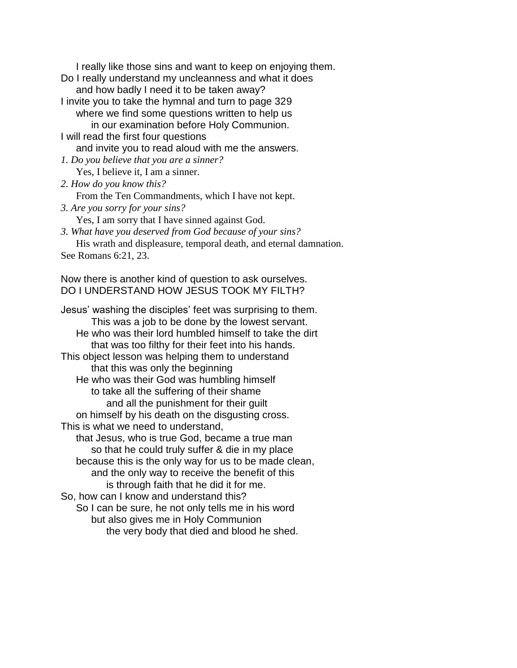I really like those sins and want to keep on enjoying them. Do I really understand my uncleanness and what it does and how badly I need it to be taken away? I invite you to take the hymnal and turn to page 329 where we find some questions written to help us in our examination before Holy Communion. I will read the first four questions and invite you to read aloud with me the answers. *1. Do you believe that you are a sinner?* Yes, I believe it, I am a sinner. *2. How do you know this?* From the Ten Commandments, which I have not kept. *3. Are you sorry for your sins?* Yes, I am sorry that I have sinned against God. *3. What have you deserved from God because of your sins?* His wrath and displeasure, temporal death, and eternal damnation. See Romans 6:21, 23. Now there is another kind of question to ask ourselves. DO I UNDERSTAND HOW JESUS TOOK MY FILTH? Jesus' washing the disciples' feet was surprising to them. This was a job to be done by the lowest servant. He who was their lord humbled himself to take the dirt that was too filthy for their feet into his hands. This object lesson was helping them to understand that this was only the beginning He who was their God was humbling himself to take all the suffering of their shame and all the punishment for their guilt on himself by his death on the disgusting cross. This is what we need to understand, that Jesus, who is true God, became a true man so that he could truly suffer & die in my place because this is the only way for us to be made clean, and the only way to receive the benefit of this is through faith that he did it for me. So, how can I know and understand this? So I can be sure, he not only tells me in his word but also gives me in Holy Communion the very body that died and blood he shed.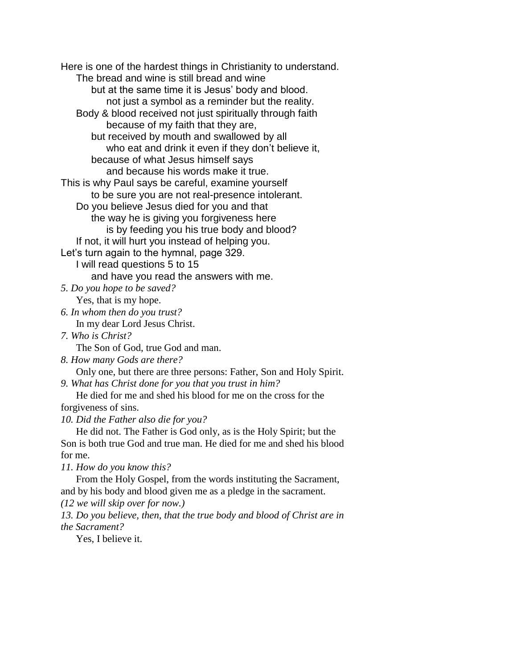Here is one of the hardest things in Christianity to understand. The bread and wine is still bread and wine but at the same time it is Jesus' body and blood. not just a symbol as a reminder but the reality. Body & blood received not just spiritually through faith because of my faith that they are, but received by mouth and swallowed by all who eat and drink it even if they don't believe it, because of what Jesus himself says and because his words make it true. This is why Paul says be careful, examine yourself to be sure you are not real-presence intolerant. Do you believe Jesus died for you and that the way he is giving you forgiveness here is by feeding you his true body and blood? If not, it will hurt you instead of helping you. Let's turn again to the hymnal, page 329. I will read questions 5 to 15 and have you read the answers with me. *5. Do you hope to be saved?* Yes, that is my hope. *6. In whom then do you trust?* In my dear Lord Jesus Christ. *7. Who is Christ?* The Son of God, true God and man. *8. How many Gods are there?* Only one, but there are three persons: Father, Son and Holy Spirit. *9. What has Christ done for you that you trust in him?* He died for me and shed his blood for me on the cross for the forgiveness of sins. *10. Did the Father also die for you?* He did not. The Father is God only, as is the Holy Spirit; but the

Son is both true God and true man. He died for me and shed his blood for me.

*11. How do you know this?*

From the Holy Gospel, from the words instituting the Sacrament, and by his body and blood given me as a pledge in the sacrament.

*(12 we will skip over for now.)*

*13. Do you believe, then, that the true body and blood of Christ are in the Sacrament?*

Yes, I believe it.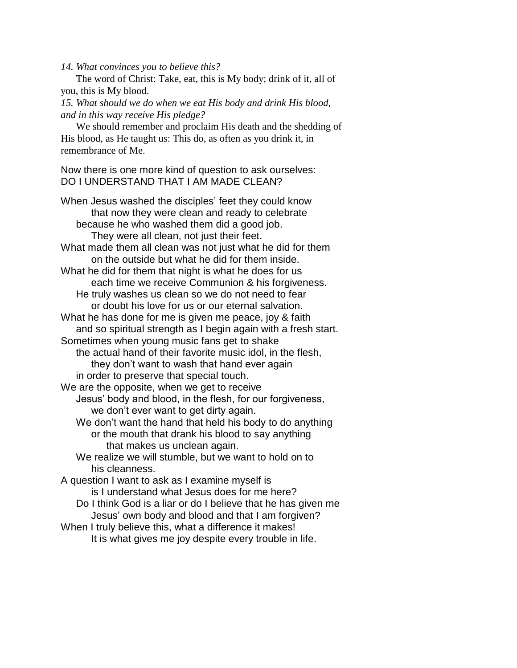*14. What convinces you to believe this?*

The word of Christ: Take, eat, this is My body; drink of it, all of you, this is My blood.

*15. What should we do when we eat His body and drink His blood, and in this way receive His pledge?*

We should remember and proclaim His death and the shedding of His blood, as He taught us: This do, as often as you drink it, in remembrance of Me.

Now there is one more kind of question to ask ourselves: DO I UNDERSTAND THAT I AM MADE CLEAN?

When Jesus washed the disciples' feet they could know that now they were clean and ready to celebrate because he who washed them did a good job. They were all clean, not just their feet. What made them all clean was not just what he did for them on the outside but what he did for them inside. What he did for them that night is what he does for us each time we receive Communion & his forgiveness. He truly washes us clean so we do not need to fear or doubt his love for us or our eternal salvation. What he has done for me is given me peace, joy & faith and so spiritual strength as I begin again with a fresh start. Sometimes when young music fans get to shake the actual hand of their favorite music idol, in the flesh, they don't want to wash that hand ever again in order to preserve that special touch. We are the opposite, when we get to receive Jesus' body and blood, in the flesh, for our forgiveness, we don't ever want to get dirty again. We don't want the hand that held his body to do anything or the mouth that drank his blood to say anything that makes us unclean again. We realize we will stumble, but we want to hold on to his cleanness. A question I want to ask as I examine myself is is I understand what Jesus does for me here? Do I think God is a liar or do I believe that he has given me Jesus' own body and blood and that I am forgiven? When I truly believe this, what a difference it makes! It is what gives me joy despite every trouble in life.